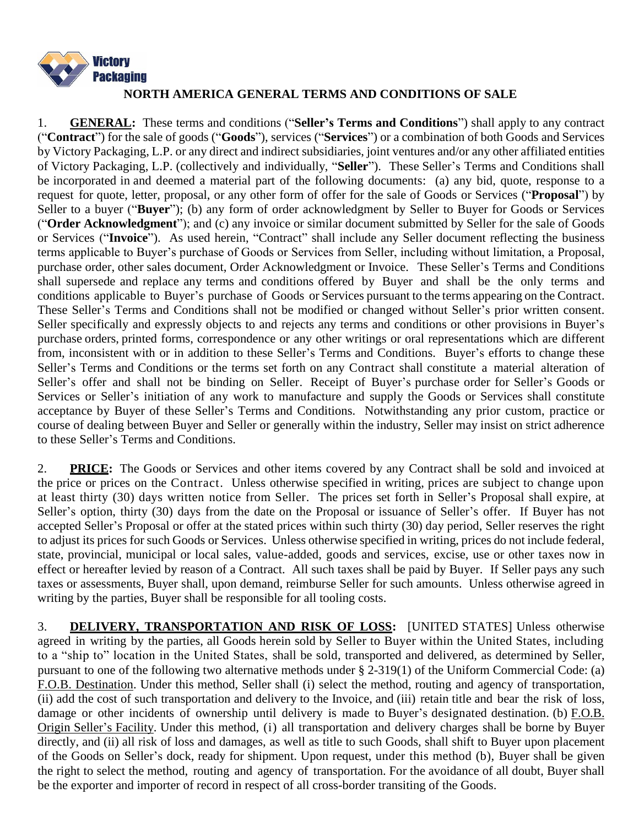

## **NORTH AMERICA GENERAL TERMS AND CONDITIONS OF SALE**

1. **GENERAL:** These terms and conditions ("**Seller's Terms and Conditions**") shall apply to any contract ("**Contract**") for the sale of goods ("**Goods**"), services ("**Services**") or a combination of both Goods and Services by Victory Packaging, L.P. or any direct and indirect subsidiaries, joint ventures and/or any other affiliated entities of Victory Packaging, L.P. (collectively and individually, "**Seller**"). These Seller's Terms and Conditions shall be incorporated in and deemed a material part of the following documents: (a) any bid, quote, response to a request for quote, letter, proposal, or any other form of offer for the sale of Goods or Services ("**Proposal**") by Seller to a buyer ("**Buyer**"); (b) any form of order acknowledgment by Seller to Buyer for Goods or Services ("**Order Acknowledgment**"); and (c) any invoice or similar document submitted by Seller for the sale of Goods or Services ("**Invoice**"). As used herein, "Contract" shall include any Seller document reflecting the business terms applicable to Buyer's purchase of Goods or Services from Seller, including without limitation, a Proposal, purchase order, other sales document, Order Acknowledgment or Invoice. These Seller's Terms and Conditions shall supersede and replace any terms and conditions offered by Buyer and shall be the only terms and conditions applicable to Buyer's purchase of Goods or Services pursuant to the terms appearing on the Contract. These Seller's Terms and Conditions shall not be modified or changed without Seller's prior written consent. Seller specifically and expressly objects to and rejects any terms and conditions or other provisions in Buyer's purchase orders, printed forms, correspondence or any other writings or oral representations which are different from, inconsistent with or in addition to these Seller's Terms and Conditions. Buyer's efforts to change these Seller's Terms and Conditions or the terms set forth on any Contract shall constitute a material alteration of Seller's offer and shall not be binding on Seller. Receipt of Buyer's purchase order for Seller's Goods or Services or Seller's initiation of any work to manufacture and supply the Goods or Services shall constitute acceptance by Buyer of these Seller's Terms and Conditions. Notwithstanding any prior custom, practice or course of dealing between Buyer and Seller or generally within the industry, Seller may insist on strict adherence to these Seller's Terms and Conditions.

2. **PRICE:** The Goods or Services and other items covered by any Contract shall be sold and invoiced at the price or prices on the Contract. Unless otherwise specified in writing, prices are subject to change upon at least thirty (30) days written notice from Seller. The prices set forth in Seller's Proposal shall expire, at Seller's option, thirty (30) days from the date on the Proposal or issuance of Seller's offer. If Buyer has not accepted Seller's Proposal or offer at the stated prices within such thirty (30) day period, Seller reserves the right to adjust its prices for such Goods or Services. Unless otherwise specified in writing, prices do not include federal, state, provincial, municipal or local sales, value-added, goods and services, excise, use or other taxes now in effect or hereafter levied by reason of a Contract. All such taxes shall be paid by Buyer. If Seller pays any such taxes or assessments, Buyer shall, upon demand, reimburse Seller for such amounts. Unless otherwise agreed in writing by the parties, Buyer shall be responsible for all tooling costs.

3. **DELIVERY, TRANSPORTATION AND RISK OF LOSS:** [UNITED STATES] Unless otherwise agreed in writing by the parties, all Goods herein sold by Seller to Buyer within the United States, including to a "ship to" location in the United States, shall be sold, transported and delivered, as determined by Seller, pursuant to one of the following two alternative methods under § 2-319(1) of the Uniform Commercial Code: (a) F.O.B. Destination. Under this method, Seller shall (i) select the method, routing and agency of transportation, (ii) add the cost of such transportation and delivery to the Invoice, and (iii) retain title and bear the risk of loss, damage or other incidents of ownership until delivery is made to Buyer's designated destination. (b) F.O.B. Origin Seller's Facility. Under this method, (i) all transportation and delivery charges shall be borne by Buyer directly, and (ii) all risk of loss and damages, as well as title to such Goods, shall shift to Buyer upon placement of the Goods on Seller's dock, ready for shipment. Upon request, under this method (b), Buyer shall be given the right to select the method, routing and agency of transportation. For the avoidance of all doubt, Buyer shall be the exporter and importer of record in respect of all cross-border transiting of the Goods.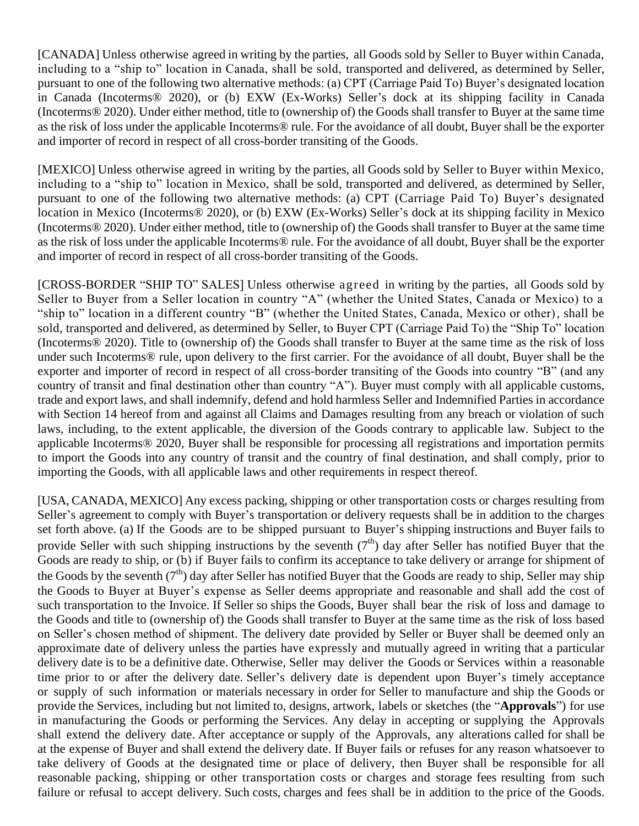[CANADA] Unless otherwise agreed in writing by the parties, all Goods sold by Seller to Buyer within Canada, including to a "ship to" location in Canada, shall be sold, transported and delivered, as determined by Seller, pursuant to one of the following two alternative methods: (a) CPT (Carriage Paid To) Buyer's designated location in Canada (Incoterms® 2020), or (b) EXW (Ex-Works) Seller's dock at its shipping facility in Canada (Incoterms® 2020). Under either method, title to (ownership of) the Goods shall transfer to Buyer at the same time as the risk of loss under the applicable Incoterms® rule. For the avoidance of all doubt, Buyer shall be the exporter and importer of record in respect of all cross-border transiting of the Goods.

[MEXICO] Unless otherwise agreed in writing by the parties, all Goods sold by Seller to Buyer within Mexico, including to a "ship to" location in Mexico, shall be sold, transported and delivered, as determined by Seller, pursuant to one of the following two alternative methods: (a) CPT (Carriage Paid To) Buyer's designated location in Mexico (Incoterms® 2020), or (b) EXW (Ex-Works) Seller's dock at its shipping facility in Mexico (Incoterms® 2020). Under either method, title to (ownership of) the Goods shall transfer to Buyer at the same time as the risk of loss under the applicable Incoterms® rule. For the avoidance of all doubt, Buyer shall be the exporter and importer of record in respect of all cross-border transiting of the Goods.

[CROSS-BORDER "SHIP TO" SALES] Unless otherwise agreed in writing by the parties, all Goods sold by Seller to Buyer from a Seller location in country "A" (whether the United States, Canada or Mexico) to a "ship to" location in a different country "B" (whether the United States, Canada, Mexico or other), shall be sold, transported and delivered, as determined by Seller, to Buyer CPT (Carriage Paid To) the "Ship To" location (Incoterms® 2020). Title to (ownership of) the Goods shall transfer to Buyer at the same time as the risk of loss under such Incoterms® rule, upon delivery to the first carrier. For the avoidance of all doubt, Buyer shall be the exporter and importer of record in respect of all cross-border transiting of the Goods into country "B" (and any country of transit and final destination other than country "A"). Buyer must comply with all applicable customs, trade and export laws, and shall indemnify, defend and hold harmless Seller and Indemnified Parties in accordance with Section 14 hereof from and against all Claims and Damages resulting from any breach or violation of such laws, including, to the extent applicable, the diversion of the Goods contrary to applicable law. Subject to the applicable Incoterms® 2020, Buyer shall be responsible for processing all registrations and importation permits to import the Goods into any country of transit and the country of final destination, and shall comply, prior to importing the Goods, with all applicable laws and other requirements in respect thereof.

[USA, CANADA, MEXICO] Any excess packing, shipping or other transportation costs or charges resulting from Seller's agreement to comply with Buyer's transportation or delivery requests shall be in addition to the charges set forth above. (a) If the Goods are to be shipped pursuant to Buyer's shipping instructions and Buyer fails to provide Seller with such shipping instructions by the seventh  $(7<sup>th</sup>)$  day after Seller has notified Buyer that the Goods are ready to ship, or (b) if Buyer fails to confirm its acceptance to take delivery or arrange for shipment of the Goods by the seventh ( $7<sup>th</sup>$ ) day after Seller has notified Buyer that the Goods are ready to ship, Seller may ship the Goods to Buyer at Buyer's expense as Seller deems appropriate and reasonable and shall add the cost of such transportation to the Invoice. If Seller so ships the Goods, Buyer shall bear the risk of loss and damage to the Goods and title to (ownership of) the Goods shall transfer to Buyer at the same time as the risk of loss based on Seller's chosen method of shipment. The delivery date provided by Seller or Buyer shall be deemed only an approximate date of delivery unless the parties have expressly and mutually agreed in writing that a particular delivery date is to be a definitive date. Otherwise, Seller may deliver the Goods or Services within a reasonable time prior to or after the delivery date. Seller's delivery date is dependent upon Buyer's timely acceptance or supply of such information or materials necessary in order for Seller to manufacture and ship the Goods or provide the Services, including but not limited to, designs, artwork, labels or sketches (the "**Approvals**") for use in manufacturing the Goods or performing the Services. Any delay in accepting or supplying the Approvals shall extend the delivery date. After acceptance or supply of the Approvals, any alterations called for shall be at the expense of Buyer and shall extend the delivery date. If Buyer fails or refuses for any reason whatsoever to take delivery of Goods at the designated time or place of delivery, then Buyer shall be responsible for all reasonable packing, shipping or other transportation costs or charges and storage fees resulting from such failure or refusal to accept delivery. Such costs, charges and fees shall be in addition to the price of the Goods.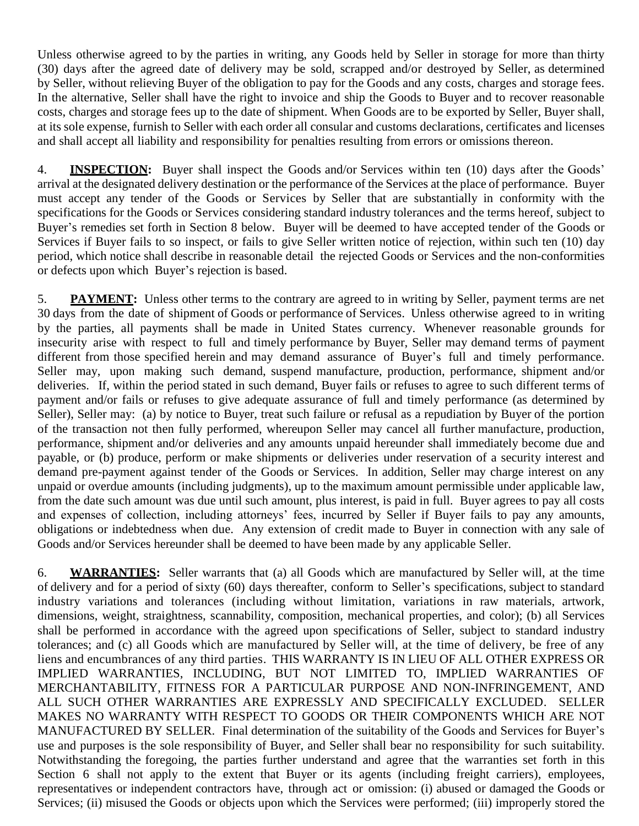Unless otherwise agreed to by the parties in writing, any Goods held by Seller in storage for more than thirty (30) days after the agreed date of delivery may be sold, scrapped and/or destroyed by Seller, as determined by Seller, without relieving Buyer of the obligation to pay for the Goods and any costs, charges and storage fees. In the alternative, Seller shall have the right to invoice and ship the Goods to Buyer and to recover reasonable costs, charges and storage fees up to the date of shipment. When Goods are to be exported by Seller, Buyer shall, at its sole expense, furnish to Seller with each order all consular and customs declarations, certificates and licenses and shall accept all liability and responsibility for penalties resulting from errors or omissions thereon.

4. **INSPECTION:** Buyer shall inspect the Goods and/or Services within ten (10) days after the Goods' arrival at the designated delivery destination or the performance of the Services at the place of performance. Buyer must accept any tender of the Goods or Services by Seller that are substantially in conformity with the specifications for the Goods or Services considering standard industry tolerances and the terms hereof, subject to Buyer's remedies set forth in Section 8 below. Buyer will be deemed to have accepted tender of the Goods or Services if Buyer fails to so inspect, or fails to give Seller written notice of rejection, within such ten (10) day period, which notice shall describe in reasonable detail the rejected Goods or Services and the non-conformities or defects upon which Buyer's rejection is based.

5. **PAYMENT:** Unless other terms to the contrary are agreed to in writing by Seller, payment terms are net 30 days from the date of shipment of Goods or performance of Services. Unless otherwise agreed to in writing by the parties, all payments shall be made in United States currency. Whenever reasonable grounds for insecurity arise with respect to full and timely performance by Buyer, Seller may demand terms of payment different from those specified herein and may demand assurance of Buyer's full and timely performance. Seller may, upon making such demand, suspend manufacture, production, performance, shipment and/or deliveries. If, within the period stated in such demand, Buyer fails or refuses to agree to such different terms of payment and/or fails or refuses to give adequate assurance of full and timely performance (as determined by Seller), Seller may: (a) by notice to Buyer, treat such failure or refusal as a repudiation by Buyer of the portion of the transaction not then fully performed, whereupon Seller may cancel all further manufacture, production, performance, shipment and/or deliveries and any amounts unpaid hereunder shall immediately become due and payable, or (b) produce, perform or make shipments or deliveries under reservation of a security interest and demand pre-payment against tender of the Goods or Services. In addition, Seller may charge interest on any unpaid or overdue amounts (including judgments), up to the maximum amount permissible under applicable law, from the date such amount was due until such amount, plus interest, is paid in full. Buyer agrees to pay all costs and expenses of collection, including attorneys' fees, incurred by Seller if Buyer fails to pay any amounts, obligations or indebtedness when due. Any extension of credit made to Buyer in connection with any sale of Goods and/or Services hereunder shall be deemed to have been made by any applicable Seller.

6. **WARRANTIES:** Seller warrants that (a) all Goods which are manufactured by Seller will, at the time of delivery and for a period of sixty (60) days thereafter, conform to Seller's specifications, subject to standard industry variations and tolerances (including without limitation, variations in raw materials, artwork, dimensions, weight, straightness, scannability, composition, mechanical properties, and color); (b) all Services shall be performed in accordance with the agreed upon specifications of Seller, subject to standard industry tolerances; and (c) all Goods which are manufactured by Seller will, at the time of delivery, be free of any liens and encumbrances of any third parties. THIS WARRANTY IS IN LIEU OF ALL OTHER EXPRESS OR IMPLIED WARRANTIES, INCLUDING, BUT NOT LIMITED TO, IMPLIED WARRANTIES OF MERCHANTABILITY, FITNESS FOR A PARTICULAR PURPOSE AND NON-INFRINGEMENT, AND ALL SUCH OTHER WARRANTIES ARE EXPRESSLY AND SPECIFICALLY EXCLUDED. SELLER MAKES NO WARRANTY WITH RESPECT TO GOODS OR THEIR COMPONENTS WHICH ARE NOT MANUFACTURED BY SELLER. Final determination of the suitability of the Goods and Services for Buyer's use and purposes is the sole responsibility of Buyer, and Seller shall bear no responsibility for such suitability. Notwithstanding the foregoing, the parties further understand and agree that the warranties set forth in this Section 6 shall not apply to the extent that Buyer or its agents (including freight carriers), employees, representatives or independent contractors have, through act or omission: (i) abused or damaged the Goods or Services; (ii) misused the Goods or objects upon which the Services were performed; (iii) improperly stored the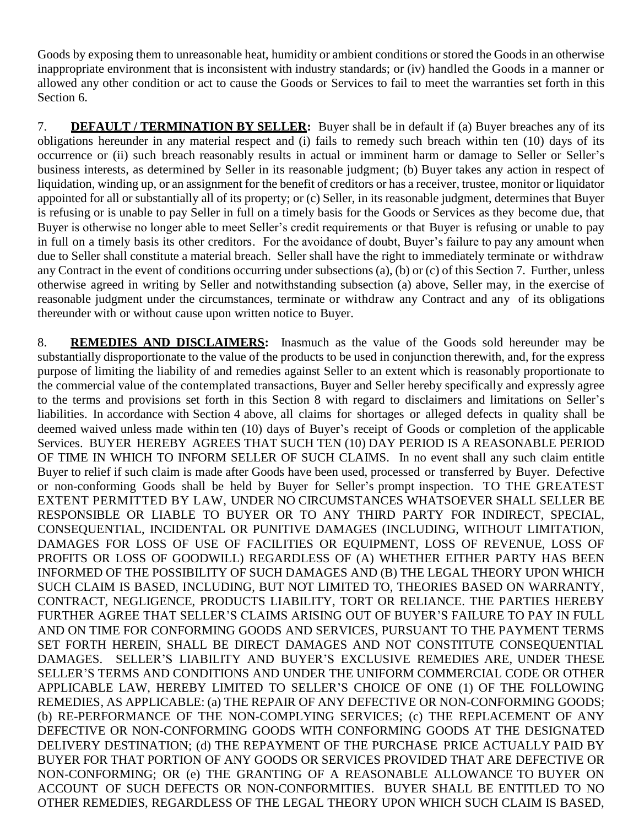Goods by exposing them to unreasonable heat, humidity or ambient conditions or stored the Goods in an otherwise inappropriate environment that is inconsistent with industry standards; or (iv) handled the Goods in a manner or allowed any other condition or act to cause the Goods or Services to fail to meet the warranties set forth in this Section 6.

7. **DEFAULT / TERMINATION BY SELLER:** Buyer shall be in default if (a) Buyer breaches any of its obligations hereunder in any material respect and (i) fails to remedy such breach within ten (10) days of its occurrence or (ii) such breach reasonably results in actual or imminent harm or damage to Seller or Seller's business interests, as determined by Seller in its reasonable judgment; (b) Buyer takes any action in respect of liquidation, winding up, or an assignment for the benefit of creditors or has a receiver, trustee, monitor or liquidator appointed for all or substantially all of its property; or (c) Seller, in its reasonable judgment, determines that Buyer is refusing or is unable to pay Seller in full on a timely basis for the Goods or Services as they become due, that Buyer is otherwise no longer able to meet Seller's credit requirements or that Buyer is refusing or unable to pay in full on a timely basis its other creditors. For the avoidance of doubt, Buyer's failure to pay any amount when due to Seller shall constitute a material breach. Seller shall have the right to immediately terminate or withdraw any Contract in the event of conditions occurring under subsections (a), (b) or (c) of this Section 7. Further, unless otherwise agreed in writing by Seller and notwithstanding subsection (a) above, Seller may, in the exercise of reasonable judgment under the circumstances, terminate or withdraw any Contract and any of its obligations thereunder with or without cause upon written notice to Buyer.

8. **REMEDIES AND DISCLAIMERS:** Inasmuch as the value of the Goods sold hereunder may be substantially disproportionate to the value of the products to be used in conjunction therewith, and, for the express purpose of limiting the liability of and remedies against Seller to an extent which is reasonably proportionate to the commercial value of the contemplated transactions, Buyer and Seller hereby specifically and expressly agree to the terms and provisions set forth in this Section 8 with regard to disclaimers and limitations on Seller's liabilities. In accordance with Section 4 above, all claims for shortages or alleged defects in quality shall be deemed waived unless made within ten (10) days of Buyer's receipt of Goods or completion of the applicable Services. BUYER HEREBY AGREES THAT SUCH TEN (10) DAY PERIOD IS A REASONABLE PERIOD OF TIME IN WHICH TO INFORM SELLER OF SUCH CLAIMS. In no event shall any such claim entitle Buyer to relief if such claim is made after Goods have been used, processed or transferred by Buyer. Defective or non-conforming Goods shall be held by Buyer for Seller's prompt inspection. TO THE GREATEST EXTENT PERMITTED BY LAW, UNDER NO CIRCUMSTANCES WHATSOEVER SHALL SELLER BE RESPONSIBLE OR LIABLE TO BUYER OR TO ANY THIRD PARTY FOR INDIRECT, SPECIAL, CONSEQUENTIAL, INCIDENTAL OR PUNITIVE DAMAGES (INCLUDING, WITHOUT LIMITATION, DAMAGES FOR LOSS OF USE OF FACILITIES OR EQUIPMENT, LOSS OF REVENUE, LOSS OF PROFITS OR LOSS OF GOODWILL) REGARDLESS OF (A) WHETHER EITHER PARTY HAS BEEN INFORMED OF THE POSSIBILITY OF SUCH DAMAGES AND (B) THE LEGAL THEORY UPON WHICH SUCH CLAIM IS BASED, INCLUDING, BUT NOT LIMITED TO, THEORIES BASED ON WARRANTY, CONTRACT, NEGLIGENCE, PRODUCTS LIABILITY, TORT OR RELIANCE. THE PARTIES HEREBY FURTHER AGREE THAT SELLER'S CLAIMS ARISING OUT OF BUYER'S FAILURE TO PAY IN FULL AND ON TIME FOR CONFORMING GOODS AND SERVICES, PURSUANT TO THE PAYMENT TERMS SET FORTH HEREIN, SHALL BE DIRECT DAMAGES AND NOT CONSTITUTE CONSEQUENTIAL DAMAGES. SELLER'S LIABILITY AND BUYER'S EXCLUSIVE REMEDIES ARE, UNDER THESE SELLER'S TERMS AND CONDITIONS AND UNDER THE UNIFORM COMMERCIAL CODE OR OTHER APPLICABLE LAW, HEREBY LIMITED TO SELLER'S CHOICE OF ONE (1) OF THE FOLLOWING REMEDIES, AS APPLICABLE: (a) THE REPAIR OF ANY DEFECTIVE OR NON-CONFORMING GOODS; (b) RE-PERFORMANCE OF THE NON-COMPLYING SERVICES; (c) THE REPLACEMENT OF ANY DEFECTIVE OR NON-CONFORMING GOODS WITH CONFORMING GOODS AT THE DESIGNATED DELIVERY DESTINATION; (d) THE REPAYMENT OF THE PURCHASE PRICE ACTUALLY PAID BY BUYER FOR THAT PORTION OF ANY GOODS OR SERVICES PROVIDED THAT ARE DEFECTIVE OR NON-CONFORMING; OR (e) THE GRANTING OF A REASONABLE ALLOWANCE TO BUYER ON ACCOUNT OF SUCH DEFECTS OR NON-CONFORMITIES. BUYER SHALL BE ENTITLED TO NO OTHER REMEDIES, REGARDLESS OF THE LEGAL THEORY UPON WHICH SUCH CLAIM IS BASED,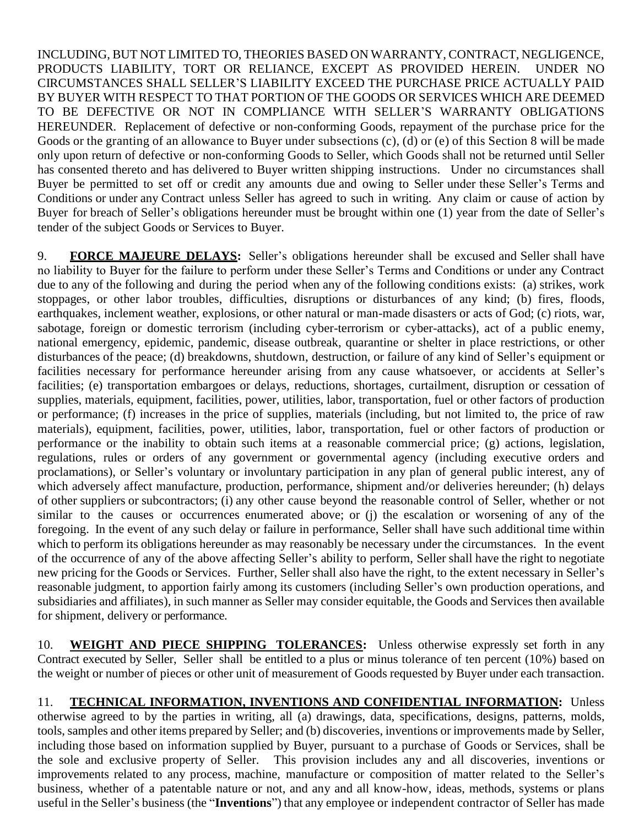INCLUDING, BUT NOT LIMITED TO, THEORIES BASED ON WARRANTY, CONTRACT, NEGLIGENCE, PRODUCTS LIABILITY, TORT OR RELIANCE, EXCEPT AS PROVIDED HEREIN. UNDER NO CIRCUMSTANCES SHALL SELLER'S LIABILITY EXCEED THE PURCHASE PRICE ACTUALLY PAID BY BUYER WITH RESPECT TO THAT PORTION OF THE GOODS OR SERVICES WHICH ARE DEEMED TO BE DEFECTIVE OR NOT IN COMPLIANCE WITH SELLER'S WARRANTY OBLIGATIONS HEREUNDER. Replacement of defective or non-conforming Goods, repayment of the purchase price for the Goods or the granting of an allowance to Buyer under subsections (c), (d) or (e) of this Section 8 will be made only upon return of defective or non-conforming Goods to Seller, which Goods shall not be returned until Seller has consented thereto and has delivered to Buyer written shipping instructions. Under no circumstances shall Buyer be permitted to set off or credit any amounts due and owing to Seller under these Seller's Terms and Conditions or under any Contract unless Seller has agreed to such in writing. Any claim or cause of action by Buyer for breach of Seller's obligations hereunder must be brought within one (1) year from the date of Seller's tender of the subject Goods or Services to Buyer.

9. **FORCE MAJEURE DELAYS:** Seller's obligations hereunder shall be excused and Seller shall have no liability to Buyer for the failure to perform under these Seller's Terms and Conditions or under any Contract due to any of the following and during the period when any of the following conditions exists: (a) strikes, work stoppages, or other labor troubles, difficulties, disruptions or disturbances of any kind; (b) fires, floods, earthquakes, inclement weather, explosions, or other natural or man-made disasters or acts of God; (c) riots, war, sabotage, foreign or domestic terrorism (including cyber-terrorism or cyber-attacks), act of a public enemy, national emergency, epidemic, pandemic, disease outbreak, quarantine or shelter in place restrictions, or other disturbances of the peace; (d) breakdowns, shutdown, destruction, or failure of any kind of Seller's equipment or facilities necessary for performance hereunder arising from any cause whatsoever, or accidents at Seller's facilities; (e) transportation embargoes or delays, reductions, shortages, curtailment, disruption or cessation of supplies, materials, equipment, facilities, power, utilities, labor, transportation, fuel or other factors of production or performance; (f) increases in the price of supplies, materials (including, but not limited to, the price of raw materials), equipment, facilities, power, utilities, labor, transportation, fuel or other factors of production or performance or the inability to obtain such items at a reasonable commercial price; (g) actions, legislation, regulations, rules or orders of any government or governmental agency (including executive orders and proclamations), or Seller's voluntary or involuntary participation in any plan of general public interest, any of which adversely affect manufacture, production, performance, shipment and/or deliveries hereunder; (h) delays of other suppliers or subcontractors; (i) any other cause beyond the reasonable control of Seller, whether or not similar to the causes or occurrences enumerated above; or (j) the escalation or worsening of any of the foregoing. In the event of any such delay or failure in performance, Seller shall have such additional time within which to perform its obligations hereunder as may reasonably be necessary under the circumstances. In the event of the occurrence of any of the above affecting Seller's ability to perform, Seller shall have the right to negotiate new pricing for the Goods or Services. Further, Seller shall also have the right, to the extent necessary in Seller's reasonable judgment, to apportion fairly among its customers (including Seller's own production operations, and subsidiaries and affiliates), in such manner as Seller may consider equitable, the Goods and Services then available for shipment, delivery or performance.

10. **WEIGHT AND PIECE SHIPPING TOLERANCES:** Unless otherwise expressly set forth in any Contract executed by Seller, Seller shall be entitled to a plus or minus tolerance of ten percent (10%) based on the weight or number of pieces or other unit of measurement of Goods requested by Buyer under each transaction.

11. **TECHNICAL INFORMATION, INVENTIONS AND CONFIDENTIAL INFORMATION:** Unless otherwise agreed to by the parties in writing, all (a) drawings, data, specifications, designs, patterns, molds, tools, samples and other items prepared by Seller; and (b) discoveries, inventions or improvements made by Seller, including those based on information supplied by Buyer, pursuant to a purchase of Goods or Services, shall be the sole and exclusive property of Seller. This provision includes any and all discoveries, inventions or improvements related to any process, machine, manufacture or composition of matter related to the Seller's business, whether of a patentable nature or not, and any and all know-how, ideas, methods, systems or plans useful in the Seller's business (the "**Inventions**") that any employee or independent contractor of Seller has made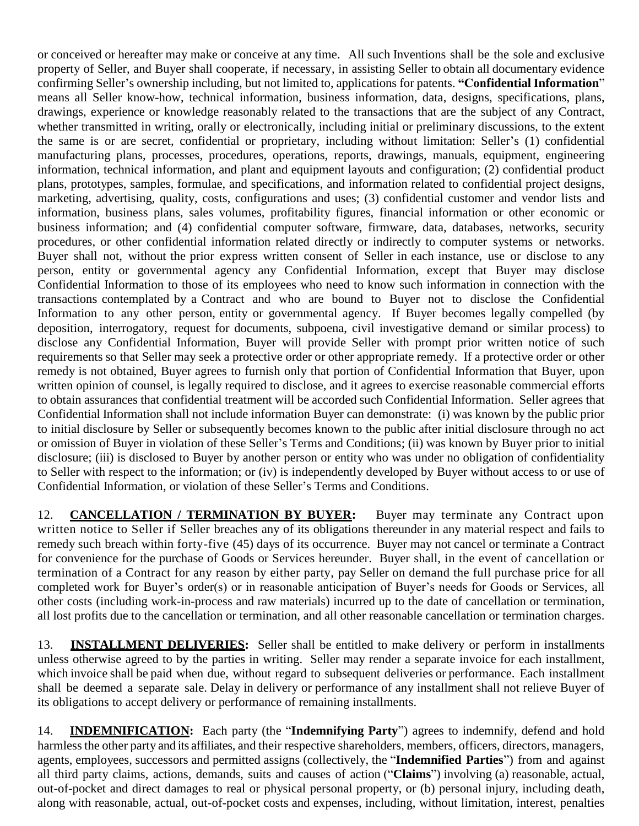or conceived or hereafter may make or conceive at any time. All such Inventions shall be the sole and exclusive property of Seller, and Buyer shall cooperate, if necessary, in assisting Seller to obtain all documentary evidence confirming Seller's ownership including, but not limited to, applications for patents. **"Confidential Information**" means all Seller know-how, technical information, business information, data, designs, specifications, plans, drawings, experience or knowledge reasonably related to the transactions that are the subject of any Contract, whether transmitted in writing, orally or electronically, including initial or preliminary discussions, to the extent the same is or are secret, confidential or proprietary, including without limitation: Seller's (1) confidential manufacturing plans, processes, procedures, operations, reports, drawings, manuals, equipment, engineering information, technical information, and plant and equipment layouts and configuration; (2) confidential product plans, prototypes, samples, formulae, and specifications, and information related to confidential project designs, marketing, advertising, quality, costs, configurations and uses; (3) confidential customer and vendor lists and information, business plans, sales volumes, profitability figures, financial information or other economic or business information; and (4) confidential computer software, firmware, data, databases, networks, security procedures, or other confidential information related directly or indirectly to computer systems or networks. Buyer shall not, without the prior express written consent of Seller in each instance, use or disclose to any person, entity or governmental agency any Confidential Information, except that Buyer may disclose Confidential Information to those of its employees who need to know such information in connection with the transactions contemplated by a Contract and who are bound to Buyer not to disclose the Confidential Information to any other person, entity or governmental agency. If Buyer becomes legally compelled (by deposition, interrogatory, request for documents, subpoena, civil investigative demand or similar process) to disclose any Confidential Information, Buyer will provide Seller with prompt prior written notice of such requirements so that Seller may seek a protective order or other appropriate remedy. If a protective order or other remedy is not obtained, Buyer agrees to furnish only that portion of Confidential Information that Buyer, upon written opinion of counsel, is legally required to disclose, and it agrees to exercise reasonable commercial efforts to obtain assurances that confidential treatment will be accorded such Confidential Information. Seller agrees that Confidential Information shall not include information Buyer can demonstrate: (i) was known by the public prior to initial disclosure by Seller or subsequently becomes known to the public after initial disclosure through no act or omission of Buyer in violation of these Seller's Terms and Conditions; (ii) was known by Buyer prior to initial disclosure; (iii) is disclosed to Buyer by another person or entity who was under no obligation of confidentiality to Seller with respect to the information; or (iv) is independently developed by Buyer without access to or use of Confidential Information, or violation of these Seller's Terms and Conditions.

12. **CANCELLATION / TERMINATION BY BUYER:** Buyer may terminate any Contract upon written notice to Seller if Seller breaches any of its obligations thereunder in any material respect and fails to remedy such breach within forty-five (45) days of its occurrence. Buyer may not cancel or terminate a Contract for convenience for the purchase of Goods or Services hereunder. Buyer shall, in the event of cancellation or termination of a Contract for any reason by either party, pay Seller on demand the full purchase price for all completed work for Buyer's order(s) or in reasonable anticipation of Buyer's needs for Goods or Services, all other costs (including work-in-process and raw materials) incurred up to the date of cancellation or termination, all lost profits due to the cancellation or termination, and all other reasonable cancellation or termination charges.

13. **INSTALLMENT DELIVERIES:** Seller shall be entitled to make delivery or perform in installments unless otherwise agreed to by the parties in writing. Seller may render a separate invoice for each installment, which invoice shall be paid when due, without regard to subsequent deliveries or performance. Each installment shall be deemed a separate sale. Delay in delivery or performance of any installment shall not relieve Buyer of its obligations to accept delivery or performance of remaining installments.

14. **INDEMNIFICATION:** Each party (the "**Indemnifying Party**") agrees to indemnify, defend and hold harmless the other party and its affiliates, and their respective shareholders, members, officers, directors, managers, agents, employees, successors and permitted assigns (collectively, the "**Indemnified Parties**") from and against all third party claims, actions, demands, suits and causes of action ("**Claims**") involving (a) reasonable, actual, out-of-pocket and direct damages to real or physical personal property, or (b) personal injury, including death, along with reasonable, actual, out-of-pocket costs and expenses, including, without limitation, interest, penalties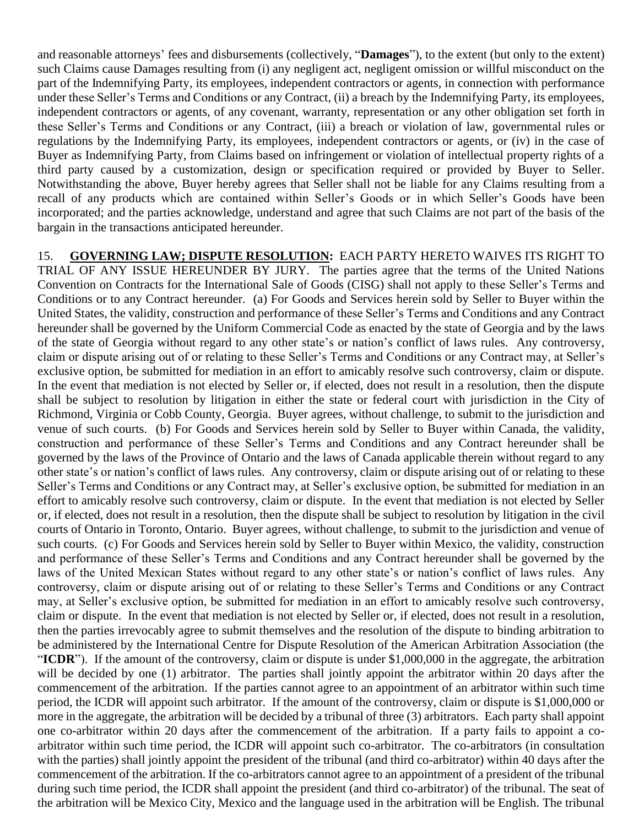and reasonable attorneys' fees and disbursements (collectively, "**Damages**"), to the extent (but only to the extent) such Claims cause Damages resulting from (i) any negligent act, negligent omission or willful misconduct on the part of the Indemnifying Party, its employees, independent contractors or agents, in connection with performance under these Seller's Terms and Conditions or any Contract, (ii) a breach by the Indemnifying Party, its employees, independent contractors or agents, of any covenant, warranty, representation or any other obligation set forth in these Seller's Terms and Conditions or any Contract, (iii) a breach or violation of law, governmental rules or regulations by the Indemnifying Party, its employees, independent contractors or agents, or (iv) in the case of Buyer as Indemnifying Party, from Claims based on infringement or violation of intellectual property rights of a third party caused by a customization, design or specification required or provided by Buyer to Seller. Notwithstanding the above, Buyer hereby agrees that Seller shall not be liable for any Claims resulting from a recall of any products which are contained within Seller's Goods or in which Seller's Goods have been incorporated; and the parties acknowledge, understand and agree that such Claims are not part of the basis of the bargain in the transactions anticipated hereunder.

15. **GOVERNING LAW; DISPUTE RESOLUTION:** EACH PARTY HERETO WAIVES ITS RIGHT TO TRIAL OF ANY ISSUE HEREUNDER BY JURY. The parties agree that the terms of the United Nations Convention on Contracts for the International Sale of Goods (CISG) shall not apply to these Seller's Terms and Conditions or to any Contract hereunder. (a) For Goods and Services herein sold by Seller to Buyer within the United States, the validity, construction and performance of these Seller's Terms and Conditions and any Contract hereunder shall be governed by the Uniform Commercial Code as enacted by the state of Georgia and by the laws of the state of Georgia without regard to any other state's or nation's conflict of laws rules. Any controversy, claim or dispute arising out of or relating to these Seller's Terms and Conditions or any Contract may, at Seller's exclusive option, be submitted for mediation in an effort to amicably resolve such controversy, claim or dispute. In the event that mediation is not elected by Seller or, if elected, does not result in a resolution, then the dispute shall be subject to resolution by litigation in either the state or federal court with jurisdiction in the City of Richmond, Virginia or Cobb County, Georgia. Buyer agrees, without challenge, to submit to the jurisdiction and venue of such courts. (b) For Goods and Services herein sold by Seller to Buyer within Canada, the validity, construction and performance of these Seller's Terms and Conditions and any Contract hereunder shall be governed by the laws of the Province of Ontario and the laws of Canada applicable therein without regard to any other state's or nation's conflict of laws rules. Any controversy, claim or dispute arising out of or relating to these Seller's Terms and Conditions or any Contract may, at Seller's exclusive option, be submitted for mediation in an effort to amicably resolve such controversy, claim or dispute. In the event that mediation is not elected by Seller or, if elected, does not result in a resolution, then the dispute shall be subject to resolution by litigation in the civil courts of Ontario in Toronto, Ontario. Buyer agrees, without challenge, to submit to the jurisdiction and venue of such courts. (c) For Goods and Services herein sold by Seller to Buyer within Mexico, the validity, construction and performance of these Seller's Terms and Conditions and any Contract hereunder shall be governed by the laws of the United Mexican States without regard to any other state's or nation's conflict of laws rules. Any controversy, claim or dispute arising out of or relating to these Seller's Terms and Conditions or any Contract may, at Seller's exclusive option, be submitted for mediation in an effort to amicably resolve such controversy, claim or dispute. In the event that mediation is not elected by Seller or, if elected, does not result in a resolution, then the parties irrevocably agree to submit themselves and the resolution of the dispute to binding arbitration to be administered by the International Centre for Dispute Resolution of the American Arbitration Association (the "**ICDR**"). If the amount of the controversy, claim or dispute is under \$1,000,000 in the aggregate, the arbitration will be decided by one (1) arbitrator. The parties shall jointly appoint the arbitrator within 20 days after the commencement of the arbitration. If the parties cannot agree to an appointment of an arbitrator within such time period, the ICDR will appoint such arbitrator. If the amount of the controversy, claim or dispute is \$1,000,000 or more in the aggregate, the arbitration will be decided by a tribunal of three (3) arbitrators. Each party shall appoint one co-arbitrator within 20 days after the commencement of the arbitration. If a party fails to appoint a coarbitrator within such time period, the ICDR will appoint such co-arbitrator. The co-arbitrators (in consultation with the parties) shall jointly appoint the president of the tribunal (and third co-arbitrator) within 40 days after the commencement of the arbitration. If the co-arbitrators cannot agree to an appointment of a president of the tribunal during such time period, the ICDR shall appoint the president (and third co-arbitrator) of the tribunal. The seat of the arbitration will be Mexico City, Mexico and the language used in the arbitration will be English. The tribunal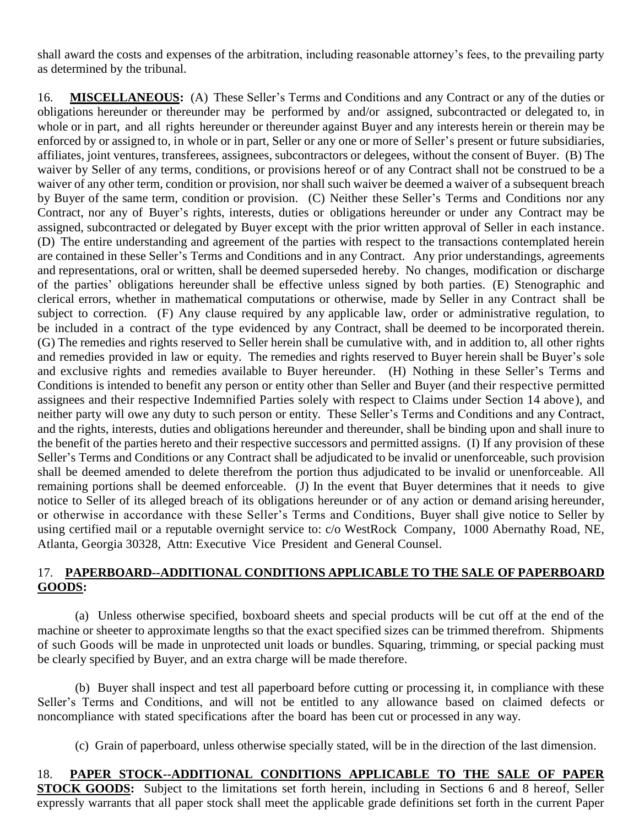shall award the costs and expenses of the arbitration, including reasonable attorney's fees, to the prevailing party as determined by the tribunal.

16. **MISCELLANEOUS:** (A) These Seller's Terms and Conditions and any Contract or any of the duties or obligations hereunder or thereunder may be performed by and/or assigned, subcontracted or delegated to, in whole or in part, and all rights hereunder or thereunder against Buyer and any interests herein or therein may be enforced by or assigned to, in whole or in part, Seller or any one or more of Seller's present or future subsidiaries, affiliates, joint ventures, transferees, assignees, subcontractors or delegees, without the consent of Buyer. (B) The waiver by Seller of any terms, conditions, or provisions hereof or of any Contract shall not be construed to be a waiver of any other term, condition or provision, nor shall such waiver be deemed a waiver of a subsequent breach by Buyer of the same term, condition or provision. (C) Neither these Seller's Terms and Conditions nor any Contract, nor any of Buyer's rights, interests, duties or obligations hereunder or under any Contract may be assigned, subcontracted or delegated by Buyer except with the prior written approval of Seller in each instance. (D) The entire understanding and agreement of the parties with respect to the transactions contemplated herein are contained in these Seller's Terms and Conditions and in any Contract. Any prior understandings, agreements and representations, oral or written, shall be deemed superseded hereby. No changes, modification or discharge of the parties' obligations hereunder shall be effective unless signed by both parties. (E) Stenographic and clerical errors, whether in mathematical computations or otherwise, made by Seller in any Contract shall be subject to correction. (F) Any clause required by any applicable law, order or administrative regulation, to be included in a contract of the type evidenced by any Contract, shall be deemed to be incorporated therein. (G) The remedies and rights reserved to Seller herein shall be cumulative with, and in addition to, all other rights and remedies provided in law or equity. The remedies and rights reserved to Buyer herein shall be Buyer's sole and exclusive rights and remedies available to Buyer hereunder. (H) Nothing in these Seller's Terms and Conditions is intended to benefit any person or entity other than Seller and Buyer (and their respective permitted assignees and their respective Indemnified Parties solely with respect to Claims under Section 14 above), and neither party will owe any duty to such person or entity. These Seller's Terms and Conditions and any Contract, and the rights, interests, duties and obligations hereunder and thereunder, shall be binding upon and shall inure to the benefit of the parties hereto and their respective successors and permitted assigns. (I) If any provision of these Seller's Terms and Conditions or any Contract shall be adjudicated to be invalid or unenforceable, such provision shall be deemed amended to delete therefrom the portion thus adjudicated to be invalid or unenforceable. All remaining portions shall be deemed enforceable. (J) In the event that Buyer determines that it needs to give notice to Seller of its alleged breach of its obligations hereunder or of any action or demand arising hereunder, or otherwise in accordance with these Seller's Terms and Conditions, Buyer shall give notice to Seller by using certified mail or a reputable overnight service to: c/o WestRock Company, 1000 Abernathy Road, NE, Atlanta, Georgia 30328, Attn: Executive Vice President and General Counsel.

## 17. **PAPERBOARD--ADDITIONAL CONDITIONS APPLICABLE TO THE SALE OF PAPERBOARD GOODS:**

(a) Unless otherwise specified, boxboard sheets and special products will be cut off at the end of the machine or sheeter to approximate lengths so that the exact specified sizes can be trimmed therefrom. Shipments of such Goods will be made in unprotected unit loads or bundles. Squaring, trimming, or special packing must be clearly specified by Buyer, and an extra charge will be made therefore.

(b) Buyer shall inspect and test all paperboard before cutting or processing it, in compliance with these Seller's Terms and Conditions, and will not be entitled to any allowance based on claimed defects or noncompliance with stated specifications after the board has been cut or processed in any way.

(c) Grain of paperboard, unless otherwise specially stated, will be in the direction of the last dimension.

## 18. **PAPER STOCK--ADDITIONAL CONDITIONS APPLICABLE TO THE SALE OF PAPER STOCK GOODS:** Subject to the limitations set forth herein, including in Sections 6 and 8 hereof, Seller expressly warrants that all paper stock shall meet the applicable grade definitions set forth in the current Paper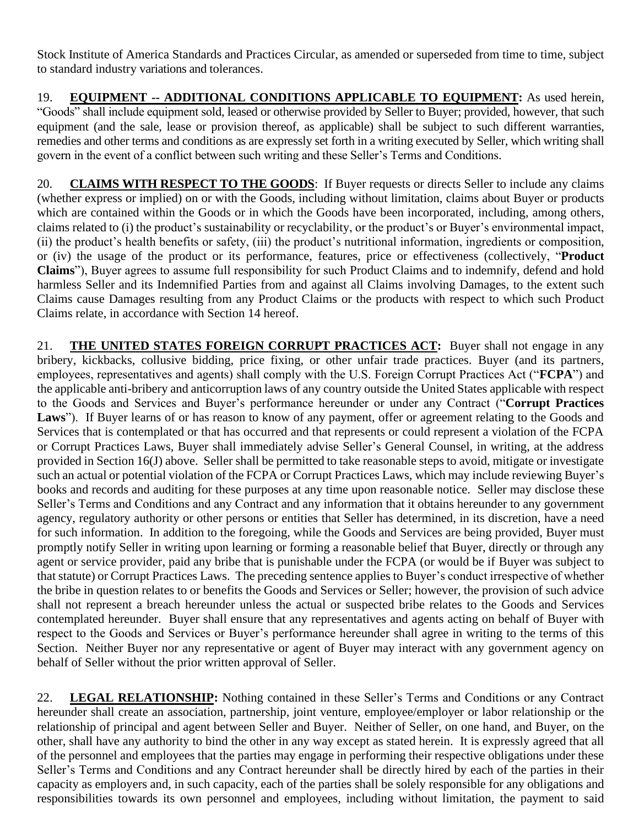Stock Institute of America Standards and Practices Circular, as amended or superseded from time to time, subject to standard industry variations and tolerances.

19. **EQUIPMENT -- ADDITIONAL CONDITIONS APPLICABLE TO EQUIPMENT:** As used herein, "Goods" shall include equipment sold, leased or otherwise provided by Seller to Buyer; provided, however, that such equipment (and the sale, lease or provision thereof, as applicable) shall be subject to such different warranties, remedies and other terms and conditions as are expressly set forth in a writing executed by Seller, which writing shall govern in the event of a conflict between such writing and these Seller's Terms and Conditions.

20. **CLAIMS WITH RESPECT TO THE GOODS**: If Buyer requests or directs Seller to include any claims (whether express or implied) on or with the Goods, including without limitation, claims about Buyer or products which are contained within the Goods or in which the Goods have been incorporated, including, among others, claims related to (i) the product's sustainability or recyclability, or the product's or Buyer's environmental impact, (ii) the product's health benefits or safety, (iii) the product's nutritional information, ingredients or composition, or (iv) the usage of the product or its performance, features, price or effectiveness (collectively, "**Product Claims**"), Buyer agrees to assume full responsibility for such Product Claims and to indemnify, defend and hold harmless Seller and its Indemnified Parties from and against all Claims involving Damages, to the extent such Claims cause Damages resulting from any Product Claims or the products with respect to which such Product Claims relate, in accordance with Section 14 hereof.

21. **THE UNITED STATES FOREIGN CORRUPT PRACTICES ACT:** Buyer shall not engage in any bribery, kickbacks, collusive bidding, price fixing, or other unfair trade practices. Buyer (and its partners, employees, representatives and agents) shall comply with the U.S. Foreign Corrupt Practices Act ("**FCPA**") and the applicable anti-bribery and anticorruption laws of any country outside the United States applicable with respect to the Goods and Services and Buyer's performance hereunder or under any Contract ("**Corrupt Practices**  Laws"). If Buyer learns of or has reason to know of any payment, offer or agreement relating to the Goods and Services that is contemplated or that has occurred and that represents or could represent a violation of the FCPA or Corrupt Practices Laws, Buyer shall immediately advise Seller's General Counsel, in writing, at the address provided in Section 16(J) above. Seller shall be permitted to take reasonable steps to avoid, mitigate or investigate such an actual or potential violation of the FCPA or Corrupt Practices Laws, which may include reviewing Buyer's books and records and auditing for these purposes at any time upon reasonable notice. Seller may disclose these Seller's Terms and Conditions and any Contract and any information that it obtains hereunder to any government agency, regulatory authority or other persons or entities that Seller has determined, in its discretion, have a need for such information. In addition to the foregoing, while the Goods and Services are being provided, Buyer must promptly notify Seller in writing upon learning or forming a reasonable belief that Buyer, directly or through any agent or service provider, paid any bribe that is punishable under the FCPA (or would be if Buyer was subject to that statute) or Corrupt Practices Laws. The preceding sentence applies to Buyer's conduct irrespective of whether the bribe in question relates to or benefits the Goods and Services or Seller; however, the provision of such advice shall not represent a breach hereunder unless the actual or suspected bribe relates to the Goods and Services contemplated hereunder. Buyer shall ensure that any representatives and agents acting on behalf of Buyer with respect to the Goods and Services or Buyer's performance hereunder shall agree in writing to the terms of this Section. Neither Buyer nor any representative or agent of Buyer may interact with any government agency on behalf of Seller without the prior written approval of Seller.

22. **LEGAL RELATIONSHIP:** Nothing contained in these Seller's Terms and Conditions or any Contract hereunder shall create an association, partnership, joint venture, employee/employer or labor relationship or the relationship of principal and agent between Seller and Buyer. Neither of Seller, on one hand, and Buyer, on the other, shall have any authority to bind the other in any way except as stated herein. It is expressly agreed that all of the personnel and employees that the parties may engage in performing their respective obligations under these Seller's Terms and Conditions and any Contract hereunder shall be directly hired by each of the parties in their capacity as employers and, in such capacity, each of the parties shall be solely responsible for any obligations and responsibilities towards its own personnel and employees, including without limitation, the payment to said